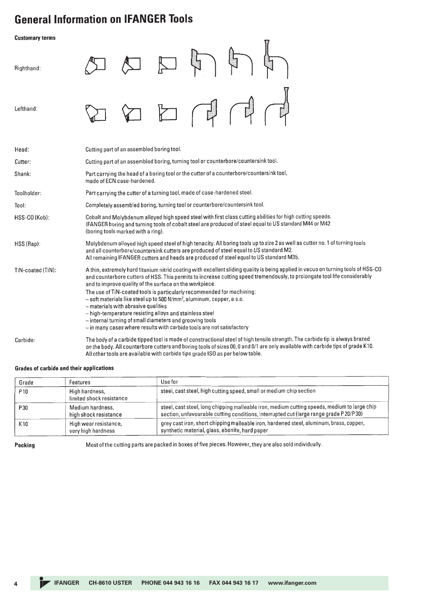## **General Information on IFANGER Tools**

**Customary terms** 一 Righthand: Lefthand:

| Head:             | Cutting part of an assembled boring tool.                                                                                                                                                                                                                                                                                                                                                                                                                                                                                                                                                                                                                                                                                         |
|-------------------|-----------------------------------------------------------------------------------------------------------------------------------------------------------------------------------------------------------------------------------------------------------------------------------------------------------------------------------------------------------------------------------------------------------------------------------------------------------------------------------------------------------------------------------------------------------------------------------------------------------------------------------------------------------------------------------------------------------------------------------|
| Cutter:           | Cutting part of an assembled boring, turning tool or counterbore/countersink tool.                                                                                                                                                                                                                                                                                                                                                                                                                                                                                                                                                                                                                                                |
| Shank:            | Part carrying the head of a boring tool or the cutter of a counterbore/countersink tool,<br>made of ECN case-hardened.                                                                                                                                                                                                                                                                                                                                                                                                                                                                                                                                                                                                            |
| Toolholder:       | Part carrying the cutter of a turning tool, made of case-hardened steel.                                                                                                                                                                                                                                                                                                                                                                                                                                                                                                                                                                                                                                                          |
| Tool:             | Completely assembled boring, turning tool or counterbore/countersink tool.                                                                                                                                                                                                                                                                                                                                                                                                                                                                                                                                                                                                                                                        |
| HSS-CO (Kob):     | Cobalt and Molybdenum alloyed high speed steel with first class cutting abilities for high cutting speeds.<br>IFANGER boring and turning tools of cobalt steel are produced of steel equal to US standard M44 or M42<br>(boring tools marked with a ring).                                                                                                                                                                                                                                                                                                                                                                                                                                                                        |
| HSS (Rap):        | Molybdenum alloyed high speed steel of high tenacity. All boring tools up to size 2 as well as cutter no. 1 of turning tools<br>and all counterbore/countersink cutters are produced of steel equal to US standard M2.<br>All remaining IFANGER cutters and heads are produced of steel equal to US standard M35.                                                                                                                                                                                                                                                                                                                                                                                                                 |
| TiN-coated (TiN): | A thin, extremely hard titanium nitrid coating with excellent sliding quality is being applied in vacuo on turning tools of HSS-CO<br>and counterbore cutters of HSS. This permits to increase cutting speed tremendously, to prolongate tool life considerably<br>and to improve quality of the surface on the workpiece.<br>The use of TiN-coated tools is particularly recommended for machining:<br>- soft materials like steel up to 500 N/mm <sup>2</sup> , aluminum, copper, a.s.o.<br>- materials with abrasive qualities<br>- high-temperature resisting alloys and stainless steel<br>- internal turning of small diameters and grooving tools<br>– in many cases where results with carbide tools are not satisfactory |
| Carbide:          | The body of a carbide tipped tool is made of constructional steel of high tensile strength. The carbide tip is always brazed<br>on the body. All counterbore cutters and boring tools of sizes 00, 0 and 0/1 are only available with carbide tips of grade K10.<br>All other tools are available with carbide tips grade ISO as per below table.                                                                                                                                                                                                                                                                                                                                                                                  |

## **Grades of carbide and their applications**

| Grade           | Features                                    | Use for                                                                                                                                                                               |
|-----------------|---------------------------------------------|---------------------------------------------------------------------------------------------------------------------------------------------------------------------------------------|
| P <sub>10</sub> | High hardness,<br>limited shock resistance  | steel, cast steel, high cutting speed, small or medium chip section                                                                                                                   |
| P30             | Medium hardness,<br>high shock resistance   | steel, cast steel, long chipping malleable iron, medium cutting speeds, medium to large chip<br>section, unfavourable cutting conditions, interrupted cut (large range grade P20/P30) |
| K10             | High wear resistance,<br>very high hardness | grey cast iron, short chipping malleable iron, hardened steel, aluminum, brass, copper,<br>synthetic material, glass, ebonite, hard paper                                             |

Packing

Most of the cutting parts are packed in boxes of five pieces. However, they are also sold individually.